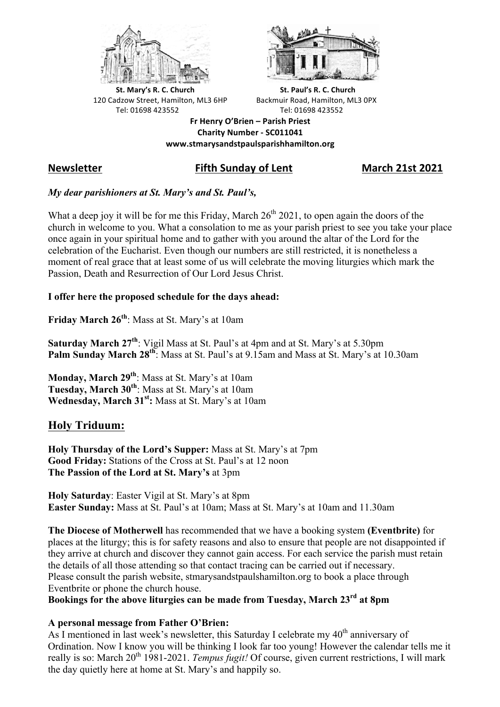



**St.** Mary's R. C. Church St. Paul's R. C. Church 120 Cadzow Street, Hamilton, ML3 6HP Backmuir Road, Hamilton, ML3 0PX Tel: 01698 423552 Tel: 01698 423552

**Fr Henry O'Brien – Parish Priest Charity Number - SC011041 www.stmarysandstpaulsparishhamilton.org**

# **Newsletter Fifth Sunday of Lent March 21st 2021**

# *My dear parishioners at St. Mary's and St. Paul's,*

What a deep joy it will be for me this Friday, March  $26<sup>th</sup> 2021$ , to open again the doors of the church in welcome to you. What a consolation to me as your parish priest to see you take your place once again in your spiritual home and to gather with you around the altar of the Lord for the celebration of the Eucharist. Even though our numbers are still restricted, it is nonetheless a moment of real grace that at least some of us will celebrate the moving liturgies which mark the Passion, Death and Resurrection of Our Lord Jesus Christ.

### **I offer here the proposed schedule for the days ahead:**

**Friday March 26th**: Mass at St. Mary's at 10am

**Saturday March 27th**: Vigil Mass at St. Paul's at 4pm and at St. Mary's at 5.30pm **Palm Sunday March 28th**: Mass at St. Paul's at 9.15am and Mass at St. Mary's at 10.30am

**Monday, March 29th**: Mass at St. Mary's at 10am **Tuesday, March 30th**: Mass at St. Mary's at 10am Wednesday, March 31<sup>st</sup>: Mass at St. Mary's at 10am

# **Holy Triduum:**

**Holy Thursday of the Lord's Supper:** Mass at St. Mary's at 7pm **Good Friday:** Stations of the Cross at St. Paul's at 12 noon **The Passion of the Lord at St. Mary's** at 3pm

**Holy Saturday**: Easter Vigil at St. Mary's at 8pm **Easter Sunday:** Mass at St. Paul's at 10am; Mass at St. Mary's at 10am and 11.30am

**The Diocese of Motherwell** has recommended that we have a booking system **(Eventbrite)** for places at the liturgy; this is for safety reasons and also to ensure that people are not disappointed if they arrive at church and discover they cannot gain access. For each service the parish must retain the details of all those attending so that contact tracing can be carried out if necessary. Please consult the parish website, stmarysandstpaulshamilton.org to book a place through Eventbrite or phone the church house.

**Bookings for the above liturgies can be made from Tuesday, March 23rd at 8pm**

# **A personal message from Father O'Brien:**

As I mentioned in last week's newsletter, this Saturday I celebrate my  $40<sup>th</sup>$  anniversary of Ordination. Now I know you will be thinking I look far too young! However the calendar tells me it really is so: March 20<sup>th</sup> 1981-2021. *Tempus fugit!* Of course, given current restrictions, I will mark the day quietly here at home at St. Mary's and happily so.